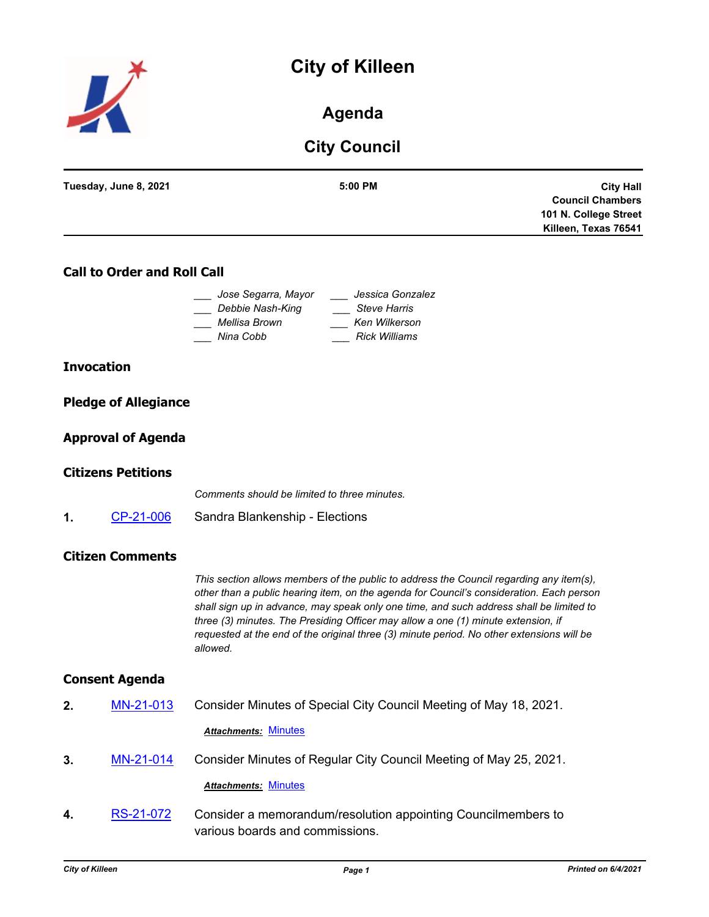# **City of Killeen**



## **Agenda**

## **City Council**

| Tuesday, June 8, 2021              | 5:00 PM                                     | <b>City Hall</b><br><b>Council Chambers</b> |
|------------------------------------|---------------------------------------------|---------------------------------------------|
|                                    |                                             | 101 N. College Street                       |
|                                    |                                             | Killeen, Texas 76541                        |
| <b>Call to Order and Roll Call</b> |                                             |                                             |
| Jose Segarra, Mayor                | Jessica Gonzalez                            |                                             |
|                                    |                                             |                                             |
| Debbie Nash-King<br>Mellisa Brown  | <b>Steve Harris</b><br><b>Ken Wilkerson</b> |                                             |

## **Invocation**

| <b>Pledge of Allegiance</b> |
|-----------------------------|
|                             |

## **Approval of Agenda**

## **Citizens Petitions**

*Comments should be limited to three minutes.*

**1.** [CP-21-006](http://killeen.legistar.com/gateway.aspx?m=l&id=/matter.aspx?key=5524) Sandra Blankenship - Elections

## **Citizen Comments**

*This section allows members of the public to address the Council regarding any item(s), other than a public hearing item, on the agenda for Council's consideration. Each person shall sign up in advance, may speak only one time, and such address shall be limited to three (3) minutes. The Presiding Officer may allow a one (1) minute extension, if requested at the end of the original three (3) minute period. No other extensions will be allowed.*

## **Consent Agenda**

- **2.** [MN-21-013](http://killeen.legistar.com/gateway.aspx?m=l&id=/matter.aspx?key=5496) Consider Minutes of Special City Council Meeting of May 18, 2021. *Attachments:* [Minutes](http://killeen.legistar.com/gateway.aspx?M=F&ID=c3239509-ab03-43bf-bc83-822e71290e00.pdf)
- **3.** [MN-21-014](http://killeen.legistar.com/gateway.aspx?m=l&id=/matter.aspx?key=5497) Consider Minutes of Regular City Council Meeting of May 25, 2021.

#### *Attachments:* [Minutes](http://killeen.legistar.com/gateway.aspx?M=F&ID=0e5b0045-4dc5-45c4-9157-c1a0845f9360.pdf)

**4.** [RS-21-072](http://killeen.legistar.com/gateway.aspx?m=l&id=/matter.aspx?key=5495) Consider a memorandum/resolution appointing Councilmembers to various boards and commissions.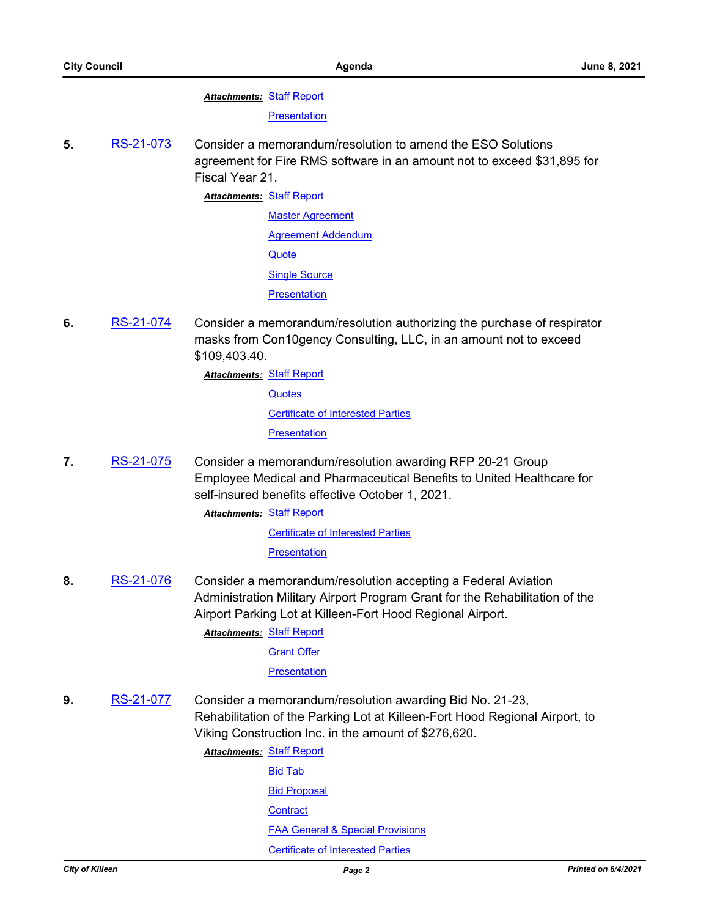**Attachments: [Staff Report](http://killeen.legistar.com/gateway.aspx?M=F&ID=548e1802-d50a-4519-940f-bf56def9d5f9.pdf)** 

**[Presentation](http://killeen.legistar.com/gateway.aspx?M=F&ID=905ddb2b-ad8f-4260-970a-afe3cd707f3b.pdf)** 

- **5.** [RS-21-073](http://killeen.legistar.com/gateway.aspx?m=l&id=/matter.aspx?key=5481) Consider a memorandum/resolution to amend the ESO Solutions agreement for Fire RMS software in an amount not to exceed \$31,895 for Fiscal Year 21.
	- **Attachments: [Staff Report](http://killeen.legistar.com/gateway.aspx?M=F&ID=dd04ffc4-312f-4202-9f32-87492a0ea9c2.pdf)** [Master Agreement](http://killeen.legistar.com/gateway.aspx?M=F&ID=e49d0f85-d2a0-4fa7-89fc-c4c3757707a3.pdf) [Agreement Addendum](http://killeen.legistar.com/gateway.aspx?M=F&ID=4b385174-706b-4e7f-9974-a6a5c3a8f746.pdf) **[Quote](http://killeen.legistar.com/gateway.aspx?M=F&ID=fccd0f2a-220b-4689-a7aa-77df980c47c3.pdf) [Single Source](http://killeen.legistar.com/gateway.aspx?M=F&ID=00363788-8ee0-4a2e-8e03-c2e28591657a.pdf) [Presentation](http://killeen.legistar.com/gateway.aspx?M=F&ID=d4a2440e-3714-47d9-aa7a-4cd87311c28f.pdf)**
- **6.** [RS-21-074](http://killeen.legistar.com/gateway.aspx?m=l&id=/matter.aspx?key=5489) Consider a memorandum/resolution authorizing the purchase of respirator masks from Con10gency Consulting, LLC, in an amount not to exceed \$109,403.40.

**Attachments: [Staff Report](http://killeen.legistar.com/gateway.aspx?M=F&ID=82f59133-1eb7-4b7e-8f0e-e73255740815.pdf) [Quotes](http://killeen.legistar.com/gateway.aspx?M=F&ID=17fd087f-a521-499b-939d-fc74ceb3c465.pdf)** [Certificate of Interested Parties](http://killeen.legistar.com/gateway.aspx?M=F&ID=d20dfbfa-b1f8-4965-bd4c-b75d83faa333.pdf) **[Presentation](http://killeen.legistar.com/gateway.aspx?M=F&ID=e7d17bf0-5516-454e-a428-f553a0863e2f.pdf)** 

**7.** [RS-21-075](http://killeen.legistar.com/gateway.aspx?m=l&id=/matter.aspx?key=5475) Consider a memorandum/resolution awarding RFP 20-21 Group Employee Medical and Pharmaceutical Benefits to United Healthcare for self-insured benefits effective October 1, 2021.

> **Attachments: [Staff Report](http://killeen.legistar.com/gateway.aspx?M=F&ID=af3b75d9-d035-45d2-a008-2655862d721d.pdf)** [Certificate of Interested Parties](http://killeen.legistar.com/gateway.aspx?M=F&ID=561e26f0-55e1-411a-a0d3-d8a9eec66e95.pdf) **[Presentation](http://killeen.legistar.com/gateway.aspx?M=F&ID=4e7ac488-2385-41e2-a94a-32412b66140d.pdf)**

**8.** [RS-21-076](http://killeen.legistar.com/gateway.aspx?m=l&id=/matter.aspx?key=5444) Consider a memorandum/resolution accepting a Federal Aviation Administration Military Airport Program Grant for the Rehabilitation of the Airport Parking Lot at Killeen-Fort Hood Regional Airport.

**Attachments: [Staff Report](http://killeen.legistar.com/gateway.aspx?M=F&ID=0ac769c1-59c6-4cd1-b8c4-07bb952f41d5.pdf)** 

[Grant Offer](http://killeen.legistar.com/gateway.aspx?M=F&ID=4fb1c8bd-1cf0-4e2d-9cad-5eafcd5a1da8.pdf)

#### **[Presentation](http://killeen.legistar.com/gateway.aspx?M=F&ID=693f0b69-bd81-4bc2-a1bc-874a8c33098c.pdf)**

**9.** [RS-21-077](http://killeen.legistar.com/gateway.aspx?m=l&id=/matter.aspx?key=5445) Consider a memorandum/resolution awarding Bid No. 21-23, Rehabilitation of the Parking Lot at Killeen-Fort Hood Regional Airport, to Viking Construction Inc. in the amount of \$276,620.

> **Attachments: [Staff Report](http://killeen.legistar.com/gateway.aspx?M=F&ID=e4c35939-ae65-49e1-8816-708fce017e2f.pdf)** [Bid Tab](http://killeen.legistar.com/gateway.aspx?M=F&ID=2f5f4221-263d-453b-9ef2-20ffbafcc120.pdf) [Bid Proposal](http://killeen.legistar.com/gateway.aspx?M=F&ID=4a36e5cf-0d14-4c1d-b63a-277878ec4a40.pdf) **[Contract](http://killeen.legistar.com/gateway.aspx?M=F&ID=7df51b2e-08f8-4c0b-b64b-0e59f9f3885b.pdf)** [FAA General & Special Provisions](http://killeen.legistar.com/gateway.aspx?M=F&ID=bc1ab541-ac55-4a34-a3f1-40560a51a61c.pdf) [Certificate of Interested Parties](http://killeen.legistar.com/gateway.aspx?M=F&ID=ef7bcc00-0c94-4dd7-8fc7-e800b57ff0eb.pdf)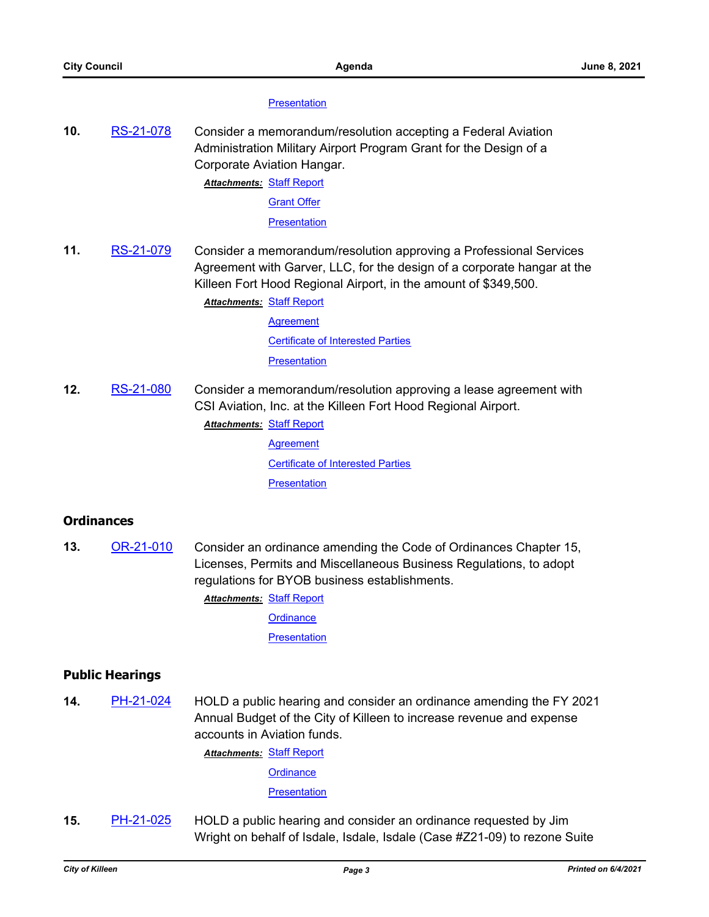#### **[Presentation](http://killeen.legistar.com/gateway.aspx?M=F&ID=2aaba5a5-2325-4ad1-8da7-6e430fb62553.pdf)**

**10.** [RS-21-078](http://killeen.legistar.com/gateway.aspx?m=l&id=/matter.aspx?key=5446) Consider a memorandum/resolution accepting a Federal Aviation Administration Military Airport Program Grant for the Design of a Corporate Aviation Hangar.

> **Attachments: [Staff Report](http://killeen.legistar.com/gateway.aspx?M=F&ID=7b38e5ff-9f2d-4843-a388-1925372eca6d.pdf)** [Grant Offer](http://killeen.legistar.com/gateway.aspx?M=F&ID=f16eb46d-6b71-4eab-94b2-814f07df685f.pdf)

**[Presentation](http://killeen.legistar.com/gateway.aspx?M=F&ID=5b59f72f-3611-4a6b-ad61-21810fa9d84e.pdf)** 

**11.** [RS-21-079](http://killeen.legistar.com/gateway.aspx?m=l&id=/matter.aspx?key=5447) Consider a memorandum/resolution approving a Professional Services Agreement with Garver, LLC, for the design of a corporate hangar at the Killeen Fort Hood Regional Airport, in the amount of \$349,500.

> **Attachments: [Staff Report](http://killeen.legistar.com/gateway.aspx?M=F&ID=5351ee02-6db7-4820-8209-7993a21aa0d2.pdf) [Agreement](http://killeen.legistar.com/gateway.aspx?M=F&ID=4bb3c344-8fd6-49cc-b425-c91b9826533b.pdf)**

> > [Certificate of Interested Parties](http://killeen.legistar.com/gateway.aspx?M=F&ID=50f2d9f7-0193-4284-9760-ee5ce846a692.pdf)

**[Presentation](http://killeen.legistar.com/gateway.aspx?M=F&ID=b09d60a1-7182-403d-b89b-d7c9ff33fd67.pdf)** 

**12.** [RS-21-080](http://killeen.legistar.com/gateway.aspx?m=l&id=/matter.aspx?key=5467) Consider a memorandum/resolution approving a lease agreement with CSI Aviation, Inc. at the Killeen Fort Hood Regional Airport. **Attachments: [Staff Report](http://killeen.legistar.com/gateway.aspx?M=F&ID=60cbc5ed-add1-4dd3-87ca-cc49094655b7.pdf)** 

> **[Agreement](http://killeen.legistar.com/gateway.aspx?M=F&ID=0d4f8649-6ce0-47d3-ba4a-60c2b2c407c0.pdf)** [Certificate of Interested Parties](http://killeen.legistar.com/gateway.aspx?M=F&ID=16a2e257-5322-4755-bb0a-eb0a36a6963a.pdf) **[Presentation](http://killeen.legistar.com/gateway.aspx?M=F&ID=603f3dfe-4da4-4d0b-9e23-3c998263d8dc.pdf)**

## **Ordinances**

**13.** [OR-21-010](http://killeen.legistar.com/gateway.aspx?m=l&id=/matter.aspx?key=5425) Consider an ordinance amending the Code of Ordinances Chapter 15, Licenses, Permits and Miscellaneous Business Regulations, to adopt regulations for BYOB business establishments.

**Attachments: [Staff Report](http://killeen.legistar.com/gateway.aspx?M=F&ID=6384310e-3799-461b-a57d-3de3c48b108c.pdf)** 

**[Ordinance](http://killeen.legistar.com/gateway.aspx?M=F&ID=eba4df5d-df14-4769-bf5c-ab6f23cece53.pdf)** 

**[Presentation](http://killeen.legistar.com/gateway.aspx?M=F&ID=962dfcd0-5738-4148-a03c-e8814a805c76.pdf)** 

## **Public Hearings**

**14.** [PH-21-024](http://killeen.legistar.com/gateway.aspx?m=l&id=/matter.aspx?key=5474) HOLD a public hearing and consider an ordinance amending the FY 2021 Annual Budget of the City of Killeen to increase revenue and expense accounts in Aviation funds.

**Attachments: [Staff Report](http://killeen.legistar.com/gateway.aspx?M=F&ID=422a6893-6f05-475b-8865-c5f3aeee13d1.pdf)** 

**[Ordinance](http://killeen.legistar.com/gateway.aspx?M=F&ID=0faa04e3-c157-4a5f-bf38-cc9652f520e8.pdf)** 

**[Presentation](http://killeen.legistar.com/gateway.aspx?M=F&ID=09a6cf39-8e92-4284-9ab5-dc744384a69c.pdf)** 

**15.** [PH-21-025](http://killeen.legistar.com/gateway.aspx?m=l&id=/matter.aspx?key=5488) HOLD a public hearing and consider an ordinance requested by Jim Wright on behalf of Isdale, Isdale, Isdale (Case #Z21-09) to rezone Suite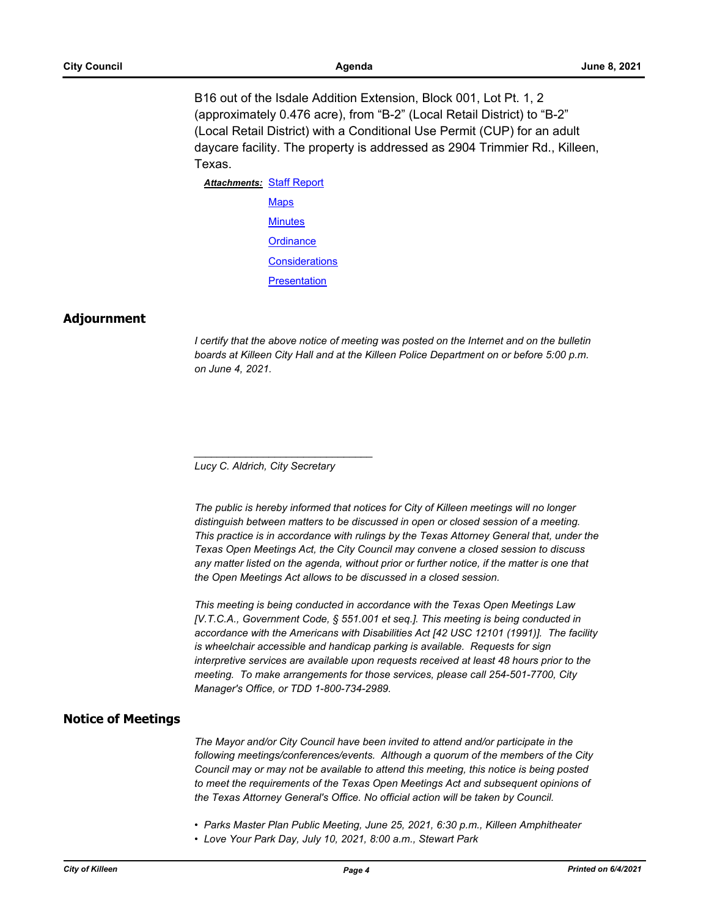B16 out of the Isdale Addition Extension, Block 001, Lot Pt. 1, 2 (approximately 0.476 acre), from "B-2" (Local Retail District) to "B-2" (Local Retail District) with a Conditional Use Permit (CUP) for an adult daycare facility. The property is addressed as 2904 Trimmier Rd., Killeen, Texas.

**Attachments: [Staff Report](http://killeen.legistar.com/gateway.aspx?M=F&ID=67c1f350-a30a-494c-b043-a81cb85d5ed3.pdf) [Maps](http://killeen.legistar.com/gateway.aspx?M=F&ID=0999328e-efcd-41b8-a4b2-a1e3a5a746d0.pdf) [Minutes](http://killeen.legistar.com/gateway.aspx?M=F&ID=da93f915-527e-4982-80df-a88984111151.pdf) [Ordinance](http://killeen.legistar.com/gateway.aspx?M=F&ID=0c152eca-edd9-4a11-937a-cbdd80f8fe18.pdf) [Considerations](http://killeen.legistar.com/gateway.aspx?M=F&ID=9e6ca8c5-59c7-43a2-9d8d-41203fc2f7a8.pdf) [Presentation](http://killeen.legistar.com/gateway.aspx?M=F&ID=c1bcfdb0-db8d-43b3-a354-8a3233c14a16.pdf)** 

## **Adjournment**

*I* certify that the above notice of meeting was posted on the Internet and on the bulletin *boards at Killeen City Hall and at the Killeen Police Department on or before 5:00 p.m. on June 4, 2021.*

*Lucy C. Aldrich, City Secretary* 

*\_\_\_\_\_\_\_\_\_\_\_\_\_\_\_\_\_\_\_\_\_\_\_\_\_\_\_\_\_\_\_*

*The public is hereby informed that notices for City of Killeen meetings will no longer distinguish between matters to be discussed in open or closed session of a meeting. This practice is in accordance with rulings by the Texas Attorney General that, under the Texas Open Meetings Act, the City Council may convene a closed session to discuss any matter listed on the agenda, without prior or further notice, if the matter is one that the Open Meetings Act allows to be discussed in a closed session.*

*This meeting is being conducted in accordance with the Texas Open Meetings Law [V.T.C.A., Government Code, § 551.001 et seq.]. This meeting is being conducted in accordance with the Americans with Disabilities Act [42 USC 12101 (1991)]. The facility is wheelchair accessible and handicap parking is available. Requests for sign interpretive services are available upon requests received at least 48 hours prior to the meeting. To make arrangements for those services, please call 254-501-7700, City Manager's Office, or TDD 1-800-734-2989.*

## **Notice of Meetings**

*The Mayor and/or City Council have been invited to attend and/or participate in the following meetings/conferences/events. Although a quorum of the members of the City Council may or may not be available to attend this meeting, this notice is being posted to meet the requirements of the Texas Open Meetings Act and subsequent opinions of the Texas Attorney General's Office. No official action will be taken by Council.*

- *Parks Master Plan Public Meeting, June 25, 2021, 6:30 p.m., Killeen Amphitheater*
- *Love Your Park Day, July 10, 2021, 8:00 a.m., Stewart Park*